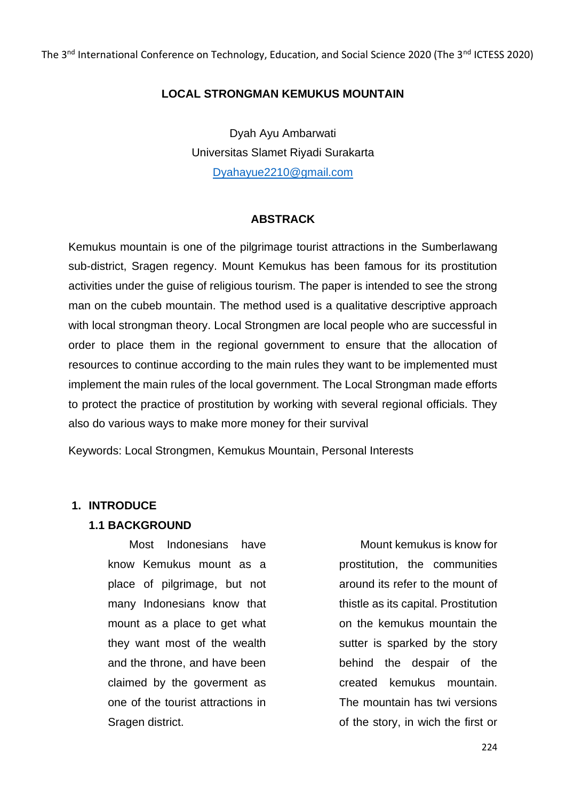The 3<sup>nd</sup> International Conference on Technology, Education, and Social Science 2020 (The 3<sup>nd</sup> ICTESS 2020)

# **LOCAL STRONGMAN KEMUKUS MOUNTAIN**

Dyah Ayu Ambarwati Universitas Slamet Riyadi Surakarta [Dyahayue2210@gmail.com](mailto:Dyahayue2210@gmail.com)

# **ABSTRACK**

Kemukus mountain is one of the pilgrimage tourist attractions in the Sumberlawang sub-district, Sragen regency. Mount Kemukus has been famous for its prostitution activities under the guise of religious tourism. The paper is intended to see the strong man on the cubeb mountain. The method used is a qualitative descriptive approach with local strongman theory. Local Strongmen are local people who are successful in order to place them in the regional government to ensure that the allocation of resources to continue according to the main rules they want to be implemented must implement the main rules of the local government. The Local Strongman made efforts to protect the practice of prostitution by working with several regional officials. They also do various ways to make more money for their survival

Keywords: Local Strongmen, Kemukus Mountain, Personal Interests

# **1. INTRODUCE**

#### **1.1 BACKGROUND**

Most Indonesians have know Kemukus mount as a place of pilgrimage, but not many Indonesians know that mount as a place to get what they want most of the wealth and the throne, and have been claimed by the goverment as one of the tourist attractions in Sragen district.

Mount kemukus is know for prostitution, the communities around its refer to the mount of thistle as its capital. Prostitution on the kemukus mountain the sutter is sparked by the story behind the despair of the created kemukus mountain. The mountain has twi versions of the story, in wich the first or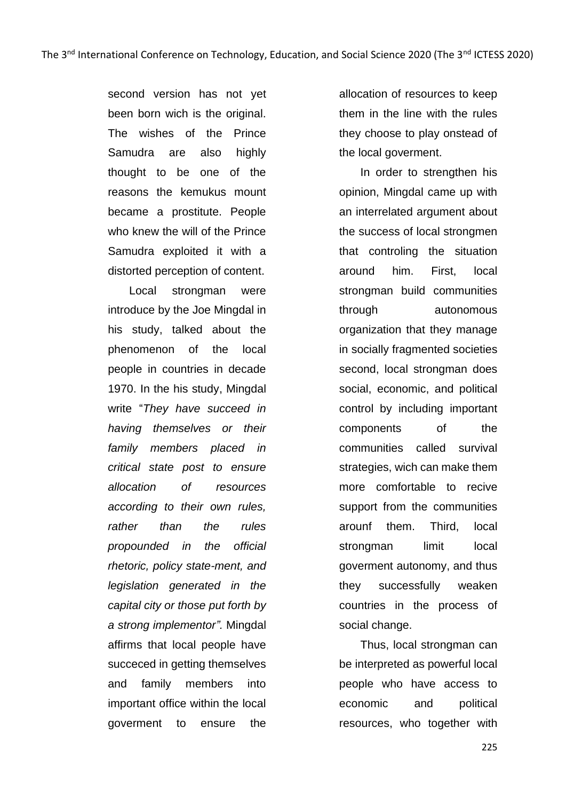second version has not yet been born wich is the original. The wishes of the Prince Samudra are also highly thought to be one of the reasons the kemukus mount became a prostitute. People who knew the will of the Prince Samudra exploited it with a distorted perception of content.

Local strongman were introduce by the Joe Mingdal in his study, talked about the phenomenon of the local people in countries in decade 1970. In the his study, Mingdal write "*They have succeed in having themselves or their family members placed in critical state post to ensure allocation of resources according to their own rules, rather than the rules propounded in the official rhetoric, policy state-ment, and legislation generated in the capital city or those put forth by a strong implementor".* Mingdal affirms that local people have succeced in getting themselves and family members into important office within the local goverment to ensure the

allocation of resources to keep them in the line with the rules they choose to play onstead of the local goverment.

In order to strengthen his opinion, Mingdal came up with an interrelated argument about the success of local strongmen that controling the situation around him. First, local strongman build communities through autonomous organization that they manage in socially fragmented societies second, local strongman does social, economic, and political control by including important components of the communities called survival strategies, wich can make them more comfortable to recive support from the communities arounf them. Third, local strongman limit local goverment autonomy, and thus they successfully weaken countries in the process of social change.

Thus, local strongman can be interpreted as powerful local people who have access to economic and political resources, who together with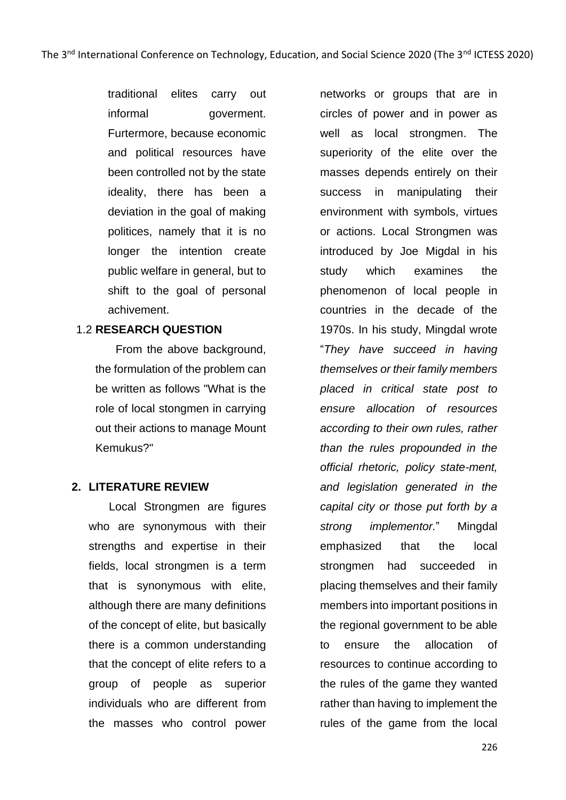traditional elites carry out informal goverment. Furtermore, because economic and political resources have been controlled not by the state ideality, there has been a deviation in the goal of making politices, namely that it is no longer the intention create public welfare in general, but to shift to the goal of personal achivement.

### 1.2 **RESEARCH QUESTION**

From the above background, the formulation of the problem can be written as follows "What is the role of local stongmen in carrying out their actions to manage Mount Kemukus?"

# **2. LITERATURE REVIEW**

Local Strongmen are figures who are synonymous with their strengths and expertise in their fields, local strongmen is a term that is synonymous with elite, although there are many definitions of the concept of elite, but basically there is a common understanding that the concept of elite refers to a group of people as superior individuals who are different from the masses who control power

networks or groups that are in circles of power and in power as well as local strongmen. The superiority of the elite over the masses depends entirely on their success in manipulating their environment with symbols, virtues or actions. Local Strongmen was introduced by Joe Migdal in his study which examines the phenomenon of local people in countries in the decade of the 1970s. In his study, Mingdal wrote "*They have succeed in having themselves or their family members placed in critical state post to ensure allocation of resources according to their own rules, rather than the rules propounded in the official rhetoric, policy state-ment, and legislation generated in the capital city or those put forth by a strong implementor.*" Mingdal emphasized that the local strongmen had succeeded in placing themselves and their family members into important positions in the regional government to be able to ensure the allocation of resources to continue according to the rules of the game they wanted rather than having to implement the rules of the game from the local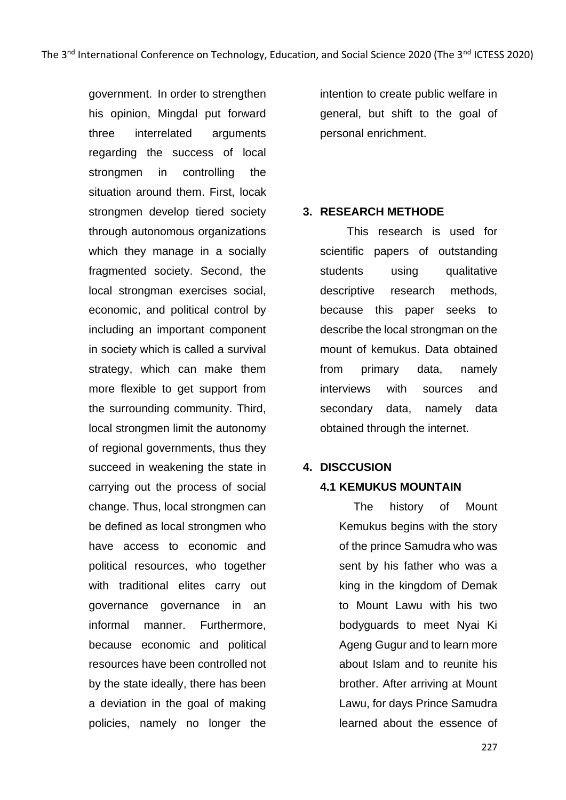government. In order to strengthen his opinion, Mingdal put forward three interrelated arguments regarding the success of local strongmen in controlling the situation around them. First, locak strongmen develop tiered society through autonomous organizations which they manage in a socially fragmented society. Second, the local strongman exercises social, economic, and political control by including an important component in society which is called a survival strategy, which can make them more flexible to get support from the surrounding community. Third, local strongmen limit the autonomy of regional governments, thus they succeed in weakening the state in carrying out the process of social change. Thus, local strongmen can be defined as local strongmen who have access to economic and political resources, who together with traditional elites carry out governance governance in an informal manner. Furthermore, because economic and political resources have been controlled not by the state ideally, there has been a deviation in the goal of making policies, namely no longer the

intention to create public welfare in general, but shift to the goal of personal enrichment.

### **3. RESEARCH METHODE**

This research is used for scientific papers of outstanding students using qualitative descriptive research methods, because this paper seeks to describe the local strongman on the mount of kemukus. Data obtained from primary data, namely interviews with sources and secondary data, namely data obtained through the internet.

# **4. DISCCUSION**

# **4.1 KEMUKUS MOUNTAIN**

The history of Mount Kemukus begins with the story of the prince Samudra who was sent by his father who was a king in the kingdom of Demak to Mount Lawu with his two bodyguards to meet Nyai Ki Ageng Gugur and to learn more about Islam and to reunite his brother. After arriving at Mount Lawu, for days Prince Samudra learned about the essence of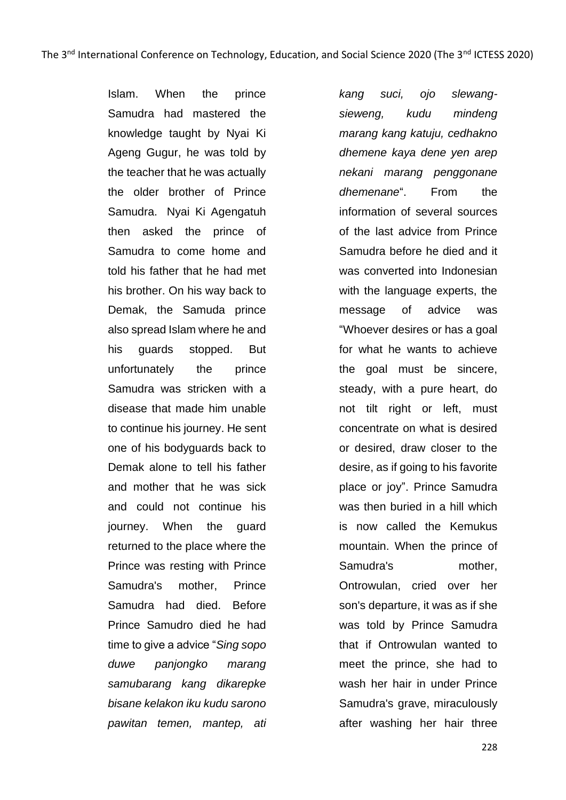Islam. When the prince Samudra had mastered the knowledge taught by Nyai Ki Ageng Gugur, he was told by the teacher that he was actually the older brother of Prince Samudra. Nyai Ki Agengatuh then asked the prince of Samudra to come home and told his father that he had met his brother. On his way back to Demak, the Samuda prince also spread Islam where he and his guards stopped. But unfortunately the prince Samudra was stricken with a disease that made him unable to continue his journey. He sent one of his bodyguards back to Demak alone to tell his father and mother that he was sick and could not continue his journey. When the guard returned to the place where the Prince was resting with Prince Samudra's mother, Prince Samudra had died. Before Prince Samudro died he had time to give a advice "*Sing sopo duwe panjongko marang samubarang kang dikarepke bisane kelakon iku kudu sarono pawitan temen, mantep, ati* 

*kang suci, ojo slewangsieweng, kudu mindeng marang kang katuju, cedhakno dhemene kaya dene yen arep nekani marang penggonane dhemenane*". From the information of several sources of the last advice from Prince Samudra before he died and it was converted into Indonesian with the language experts, the message of advice was "Whoever desires or has a goal for what he wants to achieve the goal must be sincere, steady, with a pure heart, do not tilt right or left, must concentrate on what is desired or desired, draw closer to the desire, as if going to his favorite place or joy". Prince Samudra was then buried in a hill which is now called the Kemukus mountain. When the prince of Samudra's mother, Ontrowulan, cried over her son's departure, it was as if she was told by Prince Samudra that if Ontrowulan wanted to meet the prince, she had to wash her hair in under Prince Samudra's grave, miraculously after washing her hair three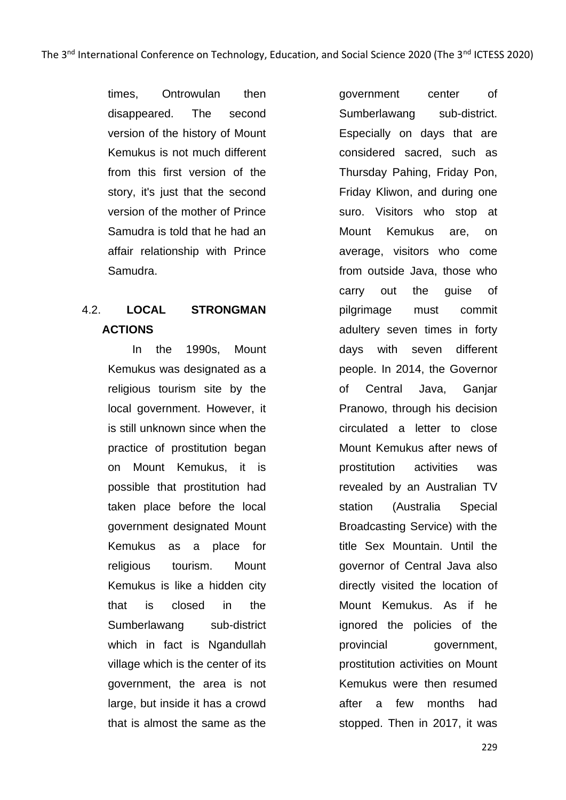times, Ontrowulan then disappeared. The second version of the history of Mount Kemukus is not much different from this first version of the story, it's just that the second version of the mother of Prince Samudra is told that he had an affair relationship with Prince Samudra.

# 4.2. **LOCAL STRONGMAN ACTIONS**

In the 1990s, Mount Kemukus was designated as a religious tourism site by the local government. However, it is still unknown since when the practice of prostitution began on Mount Kemukus, it is possible that prostitution had taken place before the local government designated Mount Kemukus as a place for religious tourism. Mount Kemukus is like a hidden city that is closed in the Sumberlawang sub-district which in fact is Ngandullah village which is the center of its government, the area is not large, but inside it has a crowd that is almost the same as the

government center of Sumberlawang sub-district. Especially on days that are considered sacred, such as Thursday Pahing, Friday Pon, Friday Kliwon, and during one suro. Visitors who stop at Mount Kemukus are, on average, visitors who come from outside Java, those who carry out the guise of pilgrimage must commit adultery seven times in forty days with seven different people. In 2014, the Governor of Central Java, Ganjar Pranowo, through his decision circulated a letter to close Mount Kemukus after news of prostitution activities was revealed by an Australian TV station (Australia Special Broadcasting Service) with the title Sex Mountain. Until the governor of Central Java also directly visited the location of Mount Kemukus. As if he ignored the policies of the provincial government, prostitution activities on Mount Kemukus were then resumed after a few months had stopped. Then in 2017, it was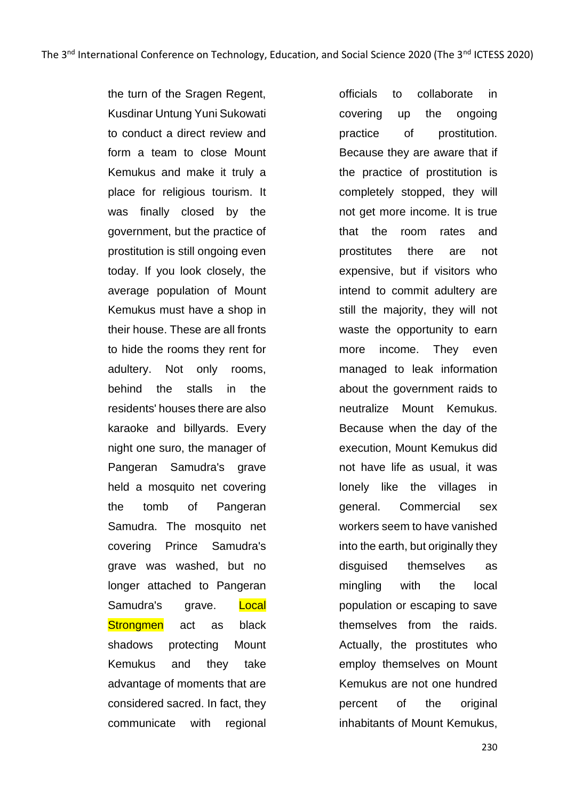the turn of the Sragen Regent, Kusdinar Untung Yuni Sukowati to conduct a direct review and form a team to close Mount Kemukus and make it truly a place for religious tourism. It was finally closed by the government, but the practice of prostitution is still ongoing even today. If you look closely, the average population of Mount Kemukus must have a shop in their house. These are all fronts to hide the rooms they rent for adultery. Not only rooms, behind the stalls in the residents' houses there are also karaoke and billyards. Every night one suro, the manager of Pangeran Samudra's grave held a mosquito net covering the tomb of Pangeran Samudra. The mosquito net covering Prince Samudra's grave was washed, but no longer attached to Pangeran Samudra's grave. Local Strongmen act as black shadows protecting Mount Kemukus and they take advantage of moments that are considered sacred. In fact, they communicate with regional

officials to collaborate in covering up the ongoing practice of prostitution. Because they are aware that if the practice of prostitution is completely stopped, they will not get more income. It is true that the room rates and prostitutes there are not expensive, but if visitors who intend to commit adultery are still the majority, they will not waste the opportunity to earn more income. They even managed to leak information about the government raids to neutralize Mount Kemukus. Because when the day of the execution, Mount Kemukus did not have life as usual, it was lonely like the villages in general. Commercial sex workers seem to have vanished into the earth, but originally they disguised themselves as mingling with the local population or escaping to save themselves from the raids. Actually, the prostitutes who employ themselves on Mount Kemukus are not one hundred percent of the original inhabitants of Mount Kemukus,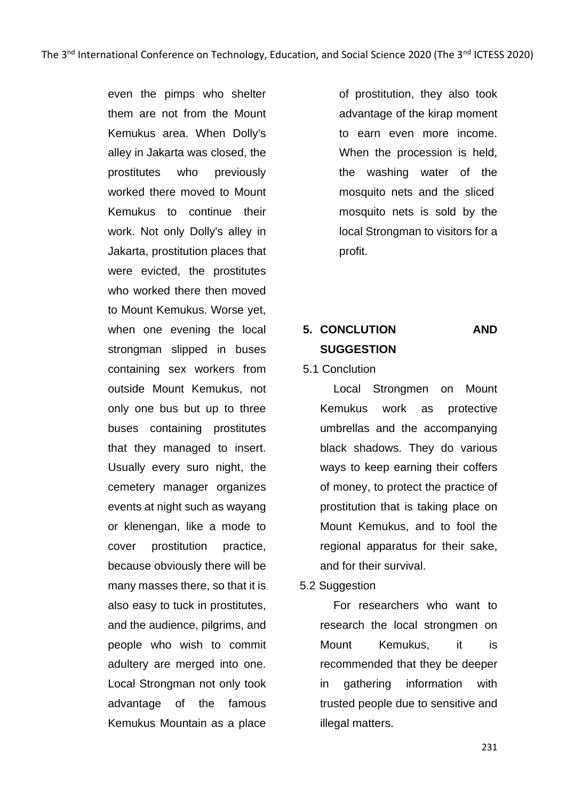even the pimps who shelter them are not from the Mount Kemukus area. When Dolly's alley in Jakarta was closed, the prostitutes who previously worked there moved to Mount Kemukus to continue their work. Not only Dolly's alley in Jakarta, prostitution places that were evicted, the prostitutes who worked there then moved to Mount Kemukus. Worse yet, when one evening the local strongman slipped in buses containing sex workers from outside Mount Kemukus, not only one bus but up to three buses containing prostitutes that they managed to insert. Usually every suro night, the cemetery manager organizes events at night such as wayang or klenengan, like a mode to cover prostitution practice, because obviously there will be many masses there, so that it is also easy to tuck in prostitutes, and the audience, pilgrims, and people who wish to commit adultery are merged into one. Local Strongman not only took advantage of the famous Kemukus Mountain as a place

of prostitution, they also took advantage of the kirap moment to earn even more income. When the procession is held, the washing water of the mosquito nets and the sliced mosquito nets is sold by the local Strongman to visitors for a profit.

# **5. CONCLUTION AND SUGGESTION**

# 5.1 Conclution

Local Strongmen on Mount Kemukus work as protective umbrellas and the accompanying black shadows. They do various ways to keep earning their coffers of money, to protect the practice of prostitution that is taking place on Mount Kemukus, and to fool the regional apparatus for their sake, and for their survival.

# 5.2 Suggestion

For researchers who want to research the local strongmen on Mount Kemukus, it is recommended that they be deeper in gathering information with trusted people due to sensitive and illegal matters.